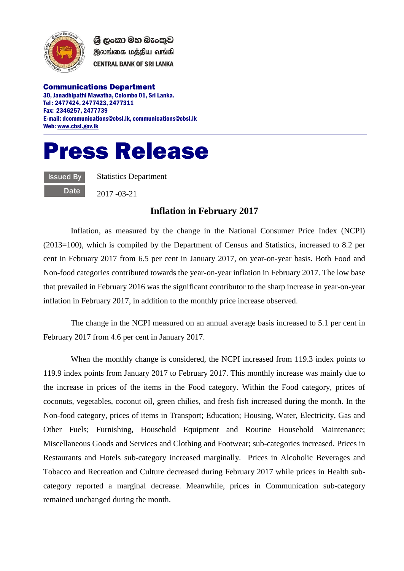

ශී ලංකා මහ බැංකුව இலங்கை மத்திய வங்கி **CENTRAL BANK OF SRI LANKA** 

Communications Department 30, Janadhipathi Mawatha, Colombo 01, Sri Lanka. Tel : 2477424, 2477423, 2477311 Fax: 2346257, 2477739 E-mail: dcommunications@cbsl.lk, communications@cbsl.lk Web[: www.cbsl.gov.lk](http://www.cbsl.gov.lk/)





Statistics Department

2017 -03-21

## **Inflation in February 2017**

Inflation, as measured by the change in the National Consumer Price Index (NCPI) (2013=100), which is compiled by the Department of Census and Statistics, increased to 8.2 per cent in February 2017 from 6.5 per cent in January 2017, on year-on-year basis. Both Food and Non-food categories contributed towards the year-on-year inflation in February 2017. The low base that prevailed in February 2016 was the significant contributor to the sharp increase in year-on-year inflation in February 2017, in addition to the monthly price increase observed.

The change in the NCPI measured on an annual average basis increased to 5.1 per cent in February 2017 from 4.6 per cent in January 2017.

When the monthly change is considered, the NCPI increased from 119.3 index points to 119.9 index points from January 2017 to February 2017. This monthly increase was mainly due to the increase in prices of the items in the Food category. Within the Food category, prices of coconuts, vegetables, coconut oil, green chilies, and fresh fish increased during the month. In the Non-food category, prices of items in Transport; Education; Housing, Water, Electricity, Gas and Other Fuels; Furnishing, Household Equipment and Routine Household Maintenance; Miscellaneous Goods and Services and Clothing and Footwear; sub-categories increased. Prices in Restaurants and Hotels sub-category increased marginally. Prices in Alcoholic Beverages and Tobacco and Recreation and Culture decreased during February 2017 while prices in Health subcategory reported a marginal decrease. Meanwhile, prices in Communication sub-category remained unchanged during the month.